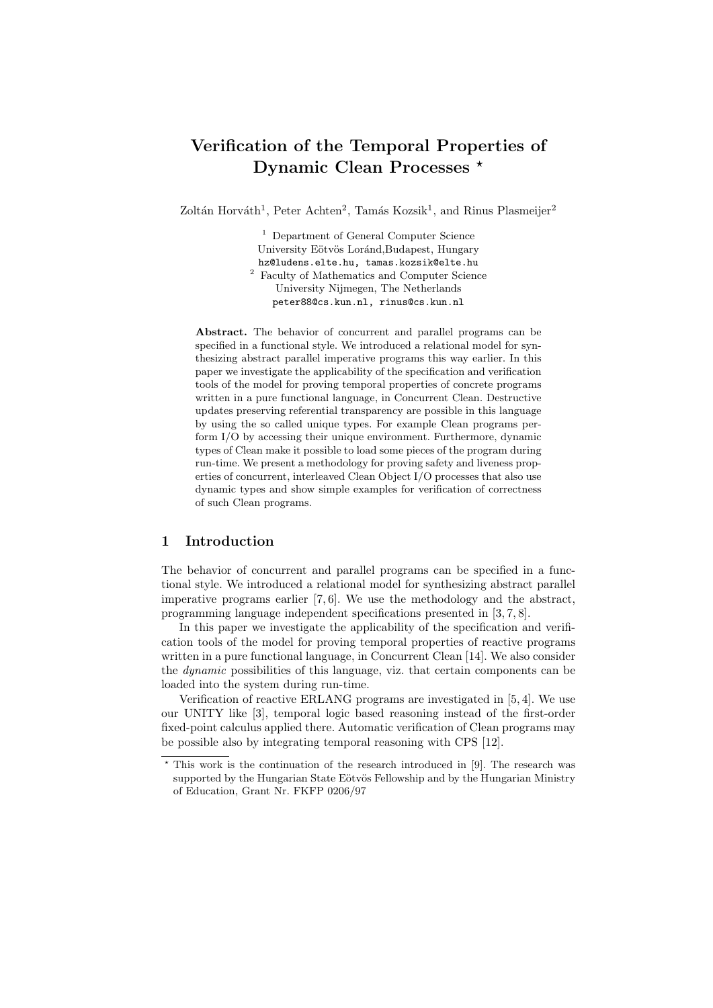# Verification of the Temporal Properties of Dynamic Clean Processes \*

Zoltán Horváth<sup>1</sup>, Peter Achten<sup>2</sup>, Tamás Kozsik<sup>1</sup>, and Rinus Plasmeijer<sup>2</sup>

<sup>1</sup> Department of General Computer Science University Eötvös Loránd,Budapest, Hungary hz@ludens.elte.hu, tamas.kozsik@elte.hu <sup>2</sup> Faculty of Mathematics and Computer Science University Nijmegen, The Netherlands peter88@cs.kun.nl, rinus@cs.kun.nl

Abstract. The behavior of concurrent and parallel programs can be specified in a functional style. We introduced a relational model for synthesizing abstract parallel imperative programs this way earlier. In this paper we investigate the applicability of the specification and verification tools of the model for proving temporal properties of concrete programs written in a pure functional language, in Concurrent Clean. Destructive updates preserving referential transparency are possible in this language by using the so called unique types. For example Clean programs perform I/O by accessing their unique environment. Furthermore, dynamic types of Clean make it possible to load some pieces of the program during run-time. We present a methodology for proving safety and liveness properties of concurrent, interleaved Clean Object I/O processes that also use dynamic types and show simple examples for verification of correctness of such Clean programs.

# 1 Introduction

The behavior of concurrent and parallel programs can be specified in a functional style. We introduced a relational model for synthesizing abstract parallel imperative programs earlier  $[7, 6]$ . We use the methodology and the abstract, programming language independent specifications presented in [3, 7, 8].

In this paper we investigate the applicability of the specification and verification tools of the model for proving temporal properties of reactive programs written in a pure functional language, in Concurrent Clean [14]. We also consider the dynamic possibilities of this language, viz. that certain components can be loaded into the system during run-time.

Verification of reactive ERLANG programs are investigated in [5, 4]. We use our UNITY like [3], temporal logic based reasoning instead of the first-order fixed-point calculus applied there. Automatic verification of Clean programs may be possible also by integrating temporal reasoning with CPS [12].

<sup>?</sup> This work is the continuation of the research introduced in [9]. The research was supported by the Hungarian State Eötvös Fellowship and by the Hungarian Ministry of Education, Grant Nr. FKFP 0206/97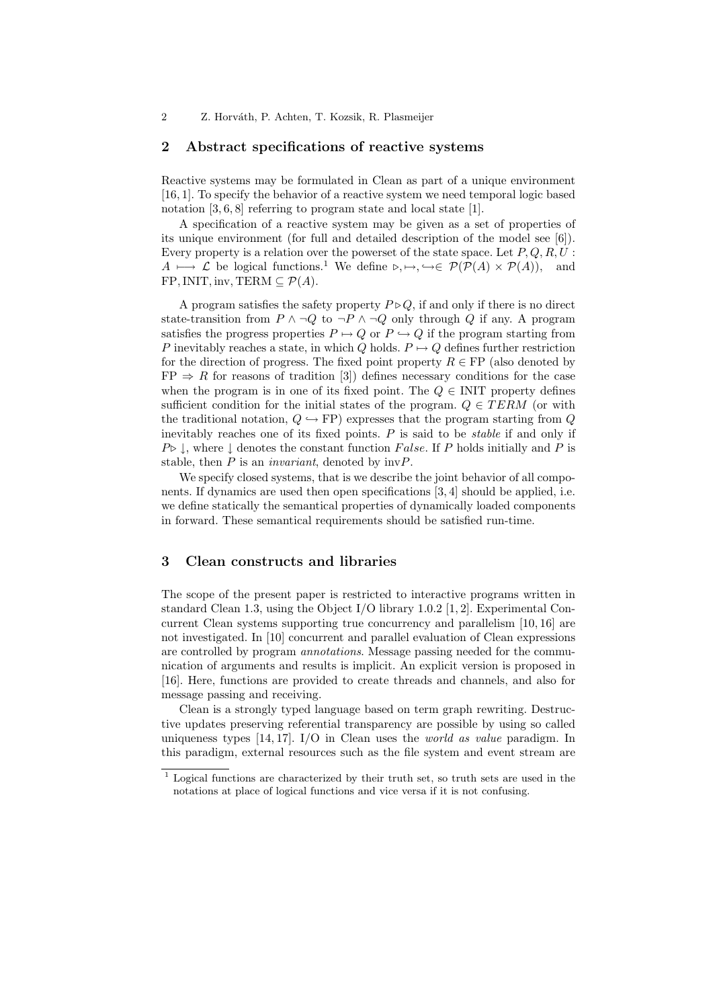# 2 Abstract specifications of reactive systems

Reactive systems may be formulated in Clean as part of a unique environment [16, 1]. To specify the behavior of a reactive system we need temporal logic based notation [3, 6, 8] referring to program state and local state [1].

A specification of a reactive system may be given as a set of properties of its unique environment (for full and detailed description of the model see [6]). Every property is a relation over the powerset of the state space. Let  $P, Q, R, U$ :  $A \longmapsto \mathcal{L}$  be logical functions.<sup>1</sup> We define  $\triangleright, \mapsto, \hookrightarrow \in \mathcal{P}(\mathcal{P}(A) \times \mathcal{P}(A)),$  and FP, INIT, inv, TERM  $\subseteq \mathcal{P}(A)$ .

A program satisfies the safety property  $P \triangleright Q$ , if and only if there is no direct state-transition from  $P \land \neg Q$  to  $\neg P \land \neg Q$  only through Q if any. A program satisfies the progress properties  $P \mapsto Q$  or  $P \hookrightarrow Q$  if the program starting from P inevitably reaches a state, in which Q holds.  $P \mapsto Q$  defines further restriction for the direction of progress. The fixed point property  $R \in \mathrm{FP}$  (also denoted by  $FP \Rightarrow R$  for reasons of tradition [3]) defines necessary conditions for the case when the program is in one of its fixed point. The  $Q \in \text{INIT}$  property defines sufficient condition for the initial states of the program.  $Q \in TERM$  (or with the traditional notation,  $Q \hookrightarrow \text{FP}$ ) expresses that the program starting from Q inevitably reaches one of its fixed points.  $P$  is said to be *stable* if and only if  $P \triangleright \bot$ , where  $\bot$  denotes the constant function False. If P holds initially and P is stable, then  $P$  is an *invariant*, denoted by  $invP$ .

We specify closed systems, that is we describe the joint behavior of all components. If dynamics are used then open specifications [3, 4] should be applied, i.e. we define statically the semantical properties of dynamically loaded components in forward. These semantical requirements should be satisfied run-time.

# 3 Clean constructs and libraries

The scope of the present paper is restricted to interactive programs written in standard Clean 1.3, using the Object I/O library 1.0.2 [1, 2]. Experimental Concurrent Clean systems supporting true concurrency and parallelism [10, 16] are not investigated. In [10] concurrent and parallel evaluation of Clean expressions are controlled by program *annotations*. Message passing needed for the communication of arguments and results is implicit. An explicit version is proposed in [16]. Here, functions are provided to create threads and channels, and also for message passing and receiving.

Clean is a strongly typed language based on term graph rewriting. Destructive updates preserving referential transparency are possible by using so called uniqueness types [14, 17]. I/O in Clean uses the world as value paradigm. In this paradigm, external resources such as the file system and event stream are

<sup>1</sup> Logical functions are characterized by their truth set, so truth sets are used in the notations at place of logical functions and vice versa if it is not confusing.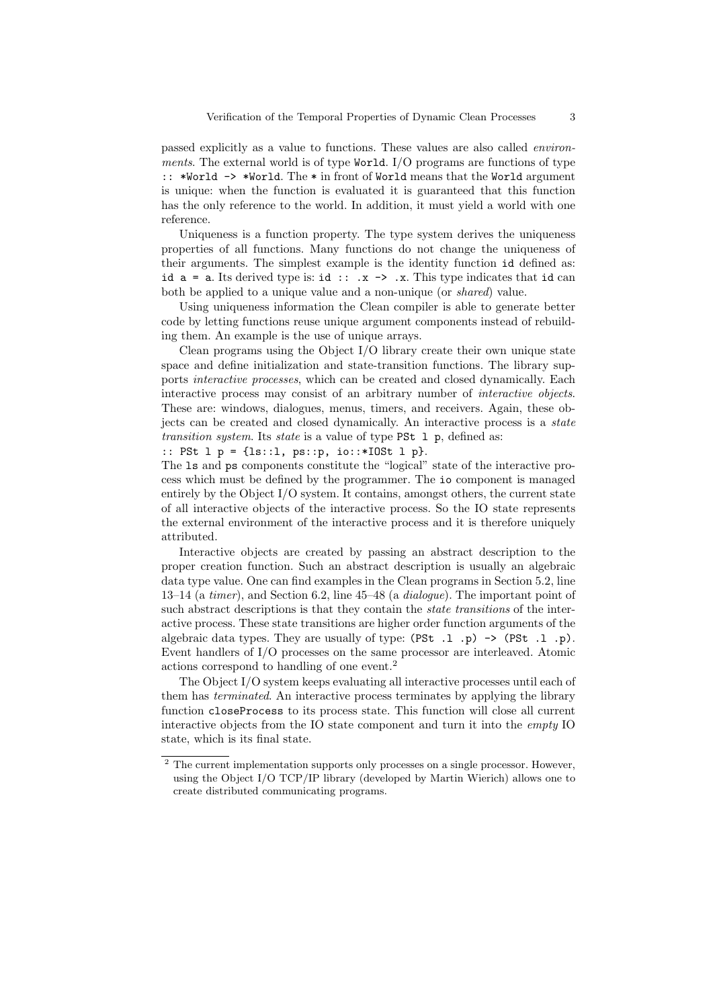passed explicitly as a value to functions. These values are also called environments. The external world is of type World. I/O programs are functions of type :: \*World -> \*World. The \* in front of World means that the World argument is unique: when the function is evaluated it is guaranteed that this function has the only reference to the world. In addition, it must yield a world with one reference.

Uniqueness is a function property. The type system derives the uniqueness properties of all functions. Many functions do not change the uniqueness of their arguments. The simplest example is the identity function id defined as: id  $a = a$ . Its derived type is: id :: .x  $\rightarrow$  .x. This type indicates that id can both be applied to a unique value and a non-unique (or shared) value.

Using uniqueness information the Clean compiler is able to generate better code by letting functions reuse unique argument components instead of rebuilding them. An example is the use of unique arrays.

Clean programs using the Object I/O library create their own unique state space and define initialization and state-transition functions. The library supports interactive processes, which can be created and closed dynamically. Each interactive process may consist of an arbitrary number of interactive objects. These are: windows, dialogues, menus, timers, and receivers. Again, these objects can be created and closed dynamically. An interactive process is a state transition system. Its state is a value of type  $PSt 1 p$ , defined as:

:: PSt l p = {ls::l, ps::p, io::\*IOSt l p}.

The ls and ps components constitute the "logical" state of the interactive process which must be defined by the programmer. The io component is managed entirely by the Object I/O system. It contains, amongst others, the current state of all interactive objects of the interactive process. So the IO state represents the external environment of the interactive process and it is therefore uniquely attributed.

Interactive objects are created by passing an abstract description to the proper creation function. Such an abstract description is usually an algebraic data type value. One can find examples in the Clean programs in Section 5.2, line 13–14 (a timer), and Section 6.2, line 45–48 (a dialogue). The important point of such abstract descriptions is that they contain the *state transitions* of the interactive process. These state transitions are higher order function arguments of the algebraic data types. They are usually of type:  $(PSt \tI. p) \rightarrow (PSt \tI. p).$ Event handlers of I/O processes on the same processor are interleaved. Atomic actions correspond to handling of one event.<sup>2</sup>

The Object I/O system keeps evaluating all interactive processes until each of them has terminated. An interactive process terminates by applying the library function closeProcess to its process state. This function will close all current interactive objects from the IO state component and turn it into the empty IO state, which is its final state.

 $\frac{2}{3}$  The current implementation supports only processes on a single processor. However, using the Object I/O TCP/IP library (developed by Martin Wierich) allows one to create distributed communicating programs.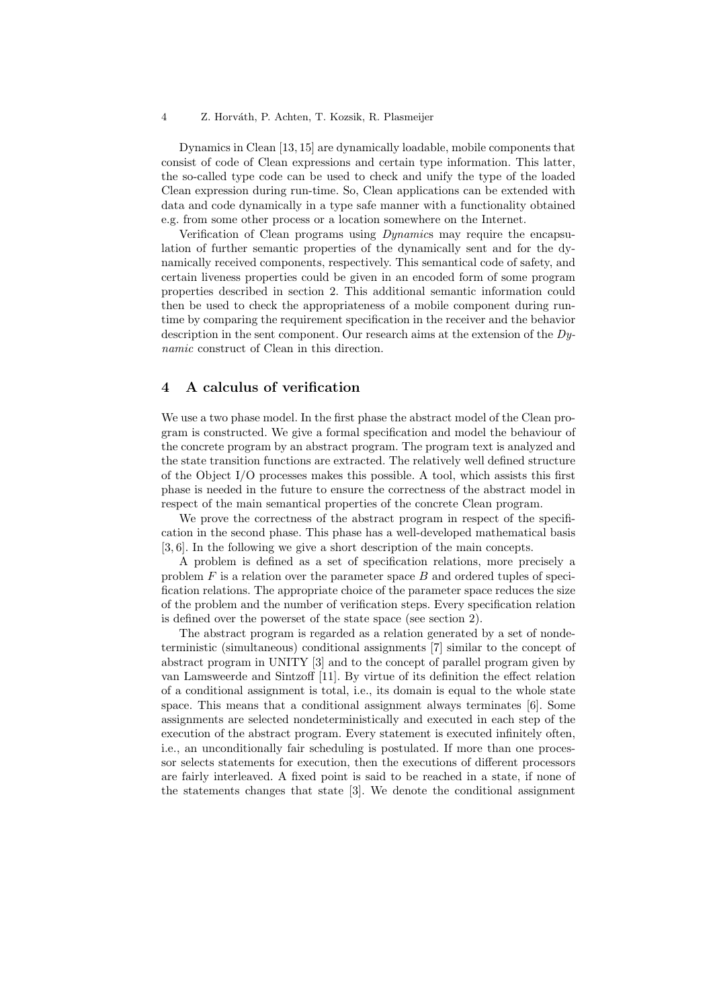Dynamics in Clean [13, 15] are dynamically loadable, mobile components that consist of code of Clean expressions and certain type information. This latter, the so-called type code can be used to check and unify the type of the loaded Clean expression during run-time. So, Clean applications can be extended with data and code dynamically in a type safe manner with a functionality obtained e.g. from some other process or a location somewhere on the Internet.

Verification of Clean programs using Dynamics may require the encapsulation of further semantic properties of the dynamically sent and for the dynamically received components, respectively. This semantical code of safety, and certain liveness properties could be given in an encoded form of some program properties described in section 2. This additional semantic information could then be used to check the appropriateness of a mobile component during runtime by comparing the requirement specification in the receiver and the behavior description in the sent component. Our research aims at the extension of the Dynamic construct of Clean in this direction.

# 4 A calculus of verification

We use a two phase model. In the first phase the abstract model of the Clean program is constructed. We give a formal specification and model the behaviour of the concrete program by an abstract program. The program text is analyzed and the state transition functions are extracted. The relatively well defined structure of the Object I/O processes makes this possible. A tool, which assists this first phase is needed in the future to ensure the correctness of the abstract model in respect of the main semantical properties of the concrete Clean program.

We prove the correctness of the abstract program in respect of the specification in the second phase. This phase has a well-developed mathematical basis [3, 6]. In the following we give a short description of the main concepts.

A problem is defined as a set of specification relations, more precisely a problem  $F$  is a relation over the parameter space  $B$  and ordered tuples of specification relations. The appropriate choice of the parameter space reduces the size of the problem and the number of verification steps. Every specification relation is defined over the powerset of the state space (see section 2).

The abstract program is regarded as a relation generated by a set of nondeterministic (simultaneous) conditional assignments [7] similar to the concept of abstract program in UNITY [3] and to the concept of parallel program given by van Lamsweerde and Sintzoff [11]. By virtue of its definition the effect relation of a conditional assignment is total, i.e., its domain is equal to the whole state space. This means that a conditional assignment always terminates [6]. Some assignments are selected nondeterministically and executed in each step of the execution of the abstract program. Every statement is executed infinitely often, i.e., an unconditionally fair scheduling is postulated. If more than one processor selects statements for execution, then the executions of different processors are fairly interleaved. A fixed point is said to be reached in a state, if none of the statements changes that state [3]. We denote the conditional assignment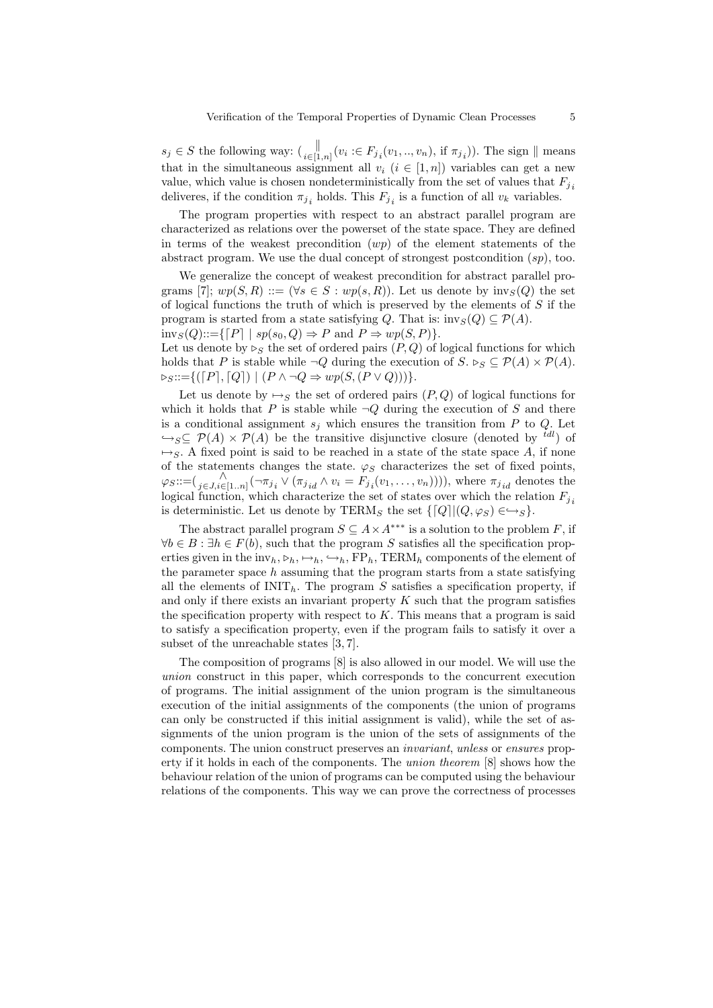$s_j \in S$  the following way:  $\left( \prod_{i \in [1,n]} (v_i \in F_{j_i}(v_1, ..., v_n), \text{ if } \pi_{j_i}) \right)$ . The sign  $\parallel$  means that in the simultaneous assignment all  $v_i$  ( $i \in [1, n]$ ) variables can get a new value, which value is chosen nondeterministically from the set of values that  $F_{i_i}$ deliveres, if the condition  $\pi_{j_i}$  holds. This  $F_{j_i}$  is a function of all  $v_k$  variables.

The program properties with respect to an abstract parallel program are characterized as relations over the powerset of the state space. They are defined in terms of the weakest precondition  $(wp)$  of the element statements of the abstract program. We use the dual concept of strongest postcondition  $(sp)$ , too.

We generalize the concept of weakest precondition for abstract parallel programs [7];  $wp(S, R) ::= (\forall s \in S : wp(s, R))$ . Let us denote by  $inv_S(Q)$  the set of logical functions the truth of which is preserved by the elements of  $S$  if the program is started from a state satisfying Q. That is:  $inv_S(Q) \subseteq \mathcal{P}(A)$ .  $inv_S(Q) ::= \{ [P] | sp(s_0, Q) \Rightarrow P \text{ and } P \Rightarrow wp(S, P) \}.$ 

Let us denote by  $\triangleright_S$  the set of ordered pairs  $(P, Q)$  of logical functions for which holds that P is stable while  $\neg Q$  during the execution of  $S \rhd_S \subseteq \mathcal{P}(A) \times \mathcal{P}(A)$ .  $\triangleright_S ::= \{([P],[Q]) | (P \wedge \neg Q \Rightarrow wp(S,(P \vee Q))) \}.$ 

Let us denote by  $\mapsto_S$  the set of ordered pairs  $(P, Q)$  of logical functions for which it holds that P is stable while  $\neg Q$  during the execution of S and there is a conditional assignment  $s_j$  which ensures the transition from P to Q. Let  $\hookrightarrow$ <sub>S</sub> $\subseteq$  P(A)  $\times$  P(A) be the transitive disjunctive closure (denoted by <sup>tdl</sup>) of  $\mapsto_S$ . A fixed point is said to be reached in a state of the state space A, if none of the statements changes the state.  $\varphi_S$  characterizes the set of fixed points,  $\varphi_S ::= (\bigwedge_{j \in J, i \in [1..n]} (\neg \pi_{j_i} \vee (\pi_{j_i d} \wedge v_i = F_{j_i}(v_1, \dots, v_n))))$ , where  $\pi_{j_i d}$  denotes the logical function, which characterize the set of states over which the relation  $F_{j_i}$ is deterministic. Let us denote by TERM<sub>S</sub> the set  $\{[Q] | (Q, \varphi_S) \in \hookrightarrow_S \}.$ 

The abstract parallel program  $S \subseteq A \times A^{***}$  is a solution to the problem F, if  $\forall b \in B : \exists h \in F(b)$ , such that the program S satisfies all the specification properties given in the inv<sub>h</sub>,  $\triangleright_h$ ,  $\mapsto_h$ ,  $\hookrightarrow_h$ , FP<sub>h</sub>, TERM<sub>h</sub> components of the element of the parameter space  $h$  assuming that the program starts from a state satisfying all the elements of  $\text{INIT}_h$ . The program S satisfies a specification property, if and only if there exists an invariant property  $K$  such that the program satisfies the specification property with respect to  $K$ . This means that a program is said to satisfy a specification property, even if the program fails to satisfy it over a subset of the unreachable states [3, 7].

The composition of programs [8] is also allowed in our model. We will use the union construct in this paper, which corresponds to the concurrent execution of programs. The initial assignment of the union program is the simultaneous execution of the initial assignments of the components (the union of programs can only be constructed if this initial assignment is valid), while the set of assignments of the union program is the union of the sets of assignments of the components. The union construct preserves an invariant, unless or ensures property if it holds in each of the components. The union theorem [8] shows how the behaviour relation of the union of programs can be computed using the behaviour relations of the components. This way we can prove the correctness of processes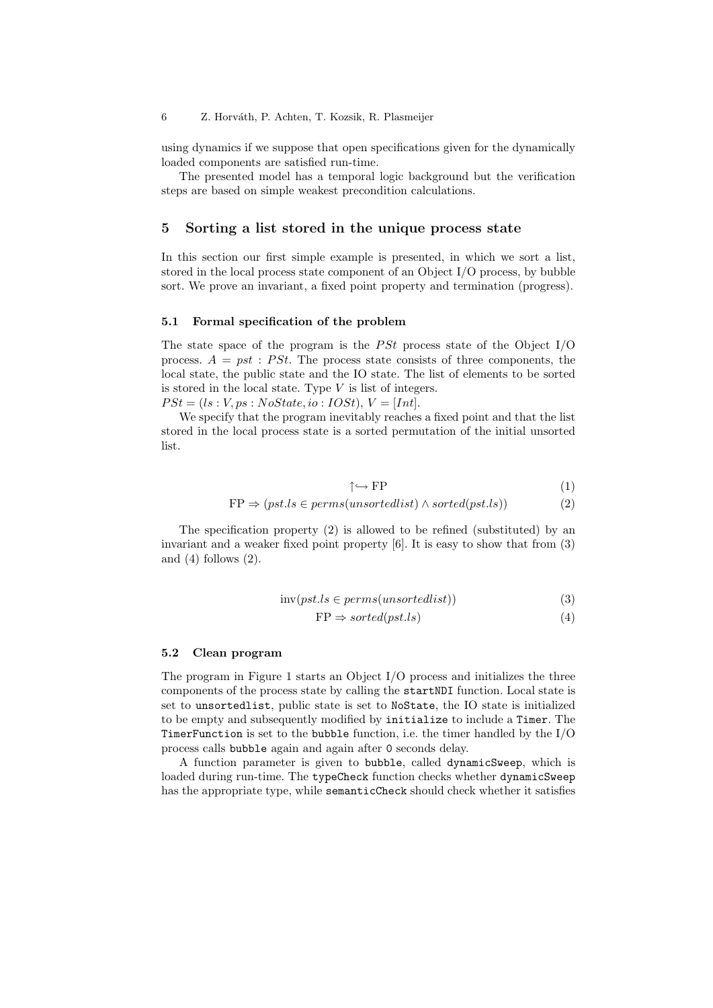using dynamics if we suppose that open specifications given for the dynamically loaded components are satisfied run-time.

The presented model has a temporal logic background but the verification steps are based on simple weakest precondition calculations.

## 5 Sorting a list stored in the unique process state

In this section our first simple example is presented, in which we sort a list, stored in the local process state component of an Object I/O process, by bubble sort. We prove an invariant, a fixed point property and termination (progress).

#### 5.1 Formal specification of the problem

The state space of the program is the  $PSt$  process state of the Object I/O process.  $A = pst$ : PSt. The process state consists of three components, the local state, the public state and the IO state. The list of elements to be sorted is stored in the local state. Type  $V$  is list of integers.

 $PSt = (ls : V, ps : NoState, io : IOSt), V = [Int].$ 

We specify that the program inevitably reaches a fixed point and that the list stored in the local process state is a sorted permutation of the initial unsorted list.

$$
\uparrow \hookrightarrow FP \tag{1}
$$

$$
FP \Rightarrow (pst.ls \in perms(unsortedlist) \land sorted(pst.ls))
$$
\n(2)

The specification property (2) is allowed to be refined (substituted) by an invariant and a weaker fixed point property [6]. It is easy to show that from (3) and  $(4)$  follows  $(2)$ .

$$
inv(pst.ls \in perms(unsortedlist))
$$
\n(3)

$$
FP \Rightarrow sorted(pst.ls)
$$
 (4)

#### 5.2 Clean program

The program in Figure 1 starts an Object I/O process and initializes the three components of the process state by calling the startNDI function. Local state is set to unsortedlist, public state is set to NoState, the IO state is initialized to be empty and subsequently modified by initialize to include a Timer. The TimerFunction is set to the bubble function, i.e. the timer handled by the I/O process calls bubble again and again after 0 seconds delay.

A function parameter is given to bubble, called dynamicSweep, which is loaded during run-time. The typeCheck function checks whether dynamicSweep has the appropriate type, while semanticCheck should check whether it satisfies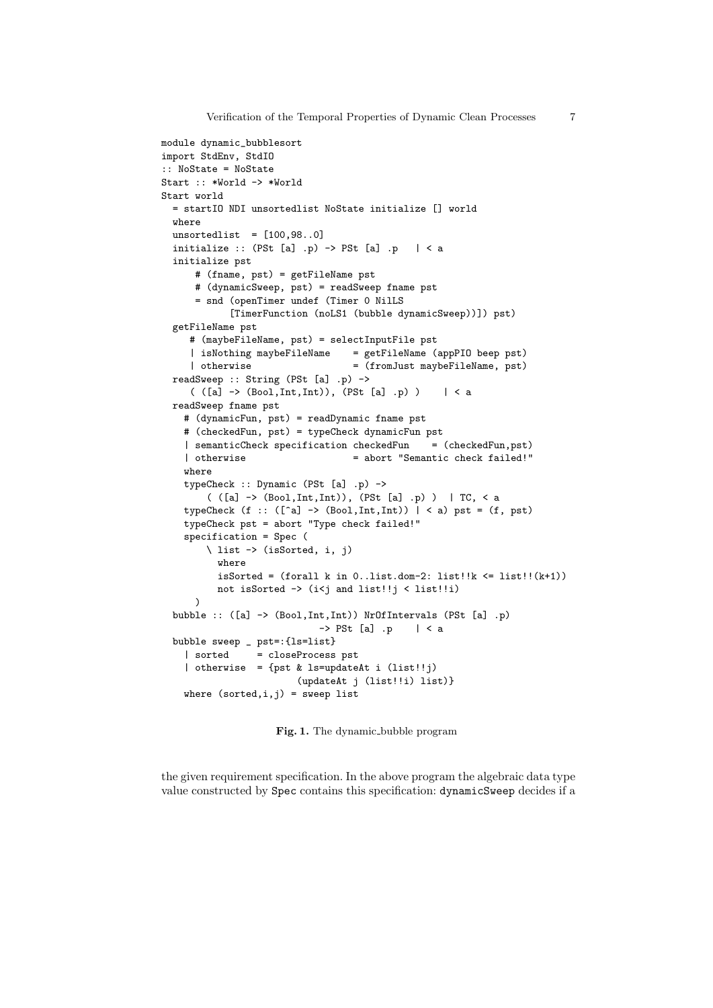```
module dynamic_bubblesort
import StdEnv, StdIO
:: NoState = NoState
Start :: *World -> *World
Start world
  = startIO NDI unsortedlist NoState initialize [] world
  where
  unsortedlist = [100, 98..0]initialize :: (PSt [a] .p) \rightarrow PSt [a] .p | < a
  initialize pst
      # (fname, pst) = getFileName pst
      # (dynamicSweep, pst) = readSweep fname pst
      = snd (openTimer undef (Timer 0 NilLS
             [TimerFunction (noLS1 (bubble dynamicSweep))]) pst)
  getFileName pst
     # (maybeFileName, pst) = selectInputFile pst
     | isNothing maybeFileName = getFileName (appPIO beep pst)
     | otherwise = (fromJust maybeFileName, pst)
  readSweep :: String (PSt [a] .p) ->
     ( ([a] -> (Bool,Int,Int)), (PSt [a] .p) ) | < a
  readSweep fname pst
    # (dynamicFun, pst) = readDynamic fname pst
    # (checkedFun, pst) = typeCheck dynamicFun pst
    | semanticCheck specification checkedFun = (checkedFun,pst)<br>| otherwise = abort "Semantic check failed!"
                                    = abort "Semantic check failed!"
    where
    typeCheck :: Dynamic (PSt [a] .p) ->
        ( ([a] -> (Bool,Int,Int)), (PSt [a] .p) ) | TC, < a
    typeCheck (f : : ([\hat{a}] \rightarrow (Bool, Int, Int)) | < a) pst = (f, \text{pst})typeCheck pst = abort "Type check failed!"
    specification = Spec (
        \ list -> (isSorted, i, j)
          where
          isSorted = (forall k in 0..list.dom-2: list!!k \le list!!(k+1))not isSorted -> (i<j and list!!j < list!!i)
      \lambdabubble :: ([a] -> (Bool,Int,Int)) NrOfIntervals (PSt [a] .p)
                              -> PSt [a] .p | < a
  bubble sweep _ pst=:{ls=list}
    | sorted = closeProcess pst
    | otherwise = \{ \text{pst } \& \text{ls} = \text{updateAt} \text{ i } (\text{list}!!\text{ j})(updateAt j (list!!i) list)}
    where (sorted, i, j) = sweep list
```
Fig. 1. The dynamic bubble program

the given requirement specification. In the above program the algebraic data type value constructed by Spec contains this specification: dynamicSweep decides if a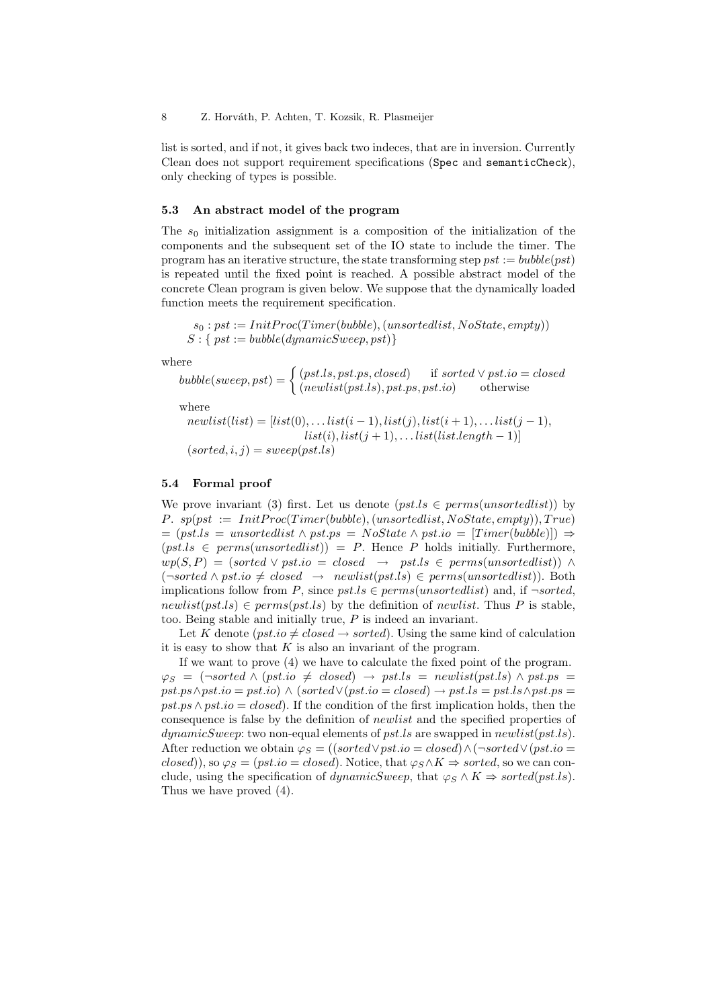list is sorted, and if not, it gives back two indeces, that are in inversion. Currently Clean does not support requirement specifications (Spec and semanticCheck), only checking of types is possible.

#### 5.3 An abstract model of the program

The  $s_0$  initialization assignment is a composition of the initialization of the components and the subsequent set of the IO state to include the timer. The program has an iterative structure, the state transforming step  $pst := bubble(pst)$ is repeated until the fixed point is reached. A possible abstract model of the concrete Clean program is given below. We suppose that the dynamically loaded function meets the requirement specification.

 $s_0 : pst := InitProc(Timer(bubble), (unsortedlist, NoState, empty))$  $S: \{ \; pst := bubble(dunamicSween,pst) \}$ 

where

\n
$$
\text{probe}(sweep,pst) =\n \begin{cases}\n (pst.ls,pst.ps, closed) & \text{if } sorted \lor pst.io = closed \\
 (newlist(pst.ls), pst.ps, pst.io) & \text{otherwise}\n \end{cases}
$$
\n

\n\n $\text{where}\n \begin{cases}\n \text{newlist}(\text{list}) = \text{list}(0) & \text{list}(i-1) \text{ list}(i) \text{ list}(i+1) \\
 \end{cases}\n \begin{cases}\n \text{newlist}(\text{list}) = \text{list}(0) & \text{list}(i-1) \text{ list}(i+1) \\
 \end{cases}$ \n

 $newlist(list) = [list(0), \ldots list(i-1), list(j), list(i+1), \ldots list(j-1),$  $list(i), list(j + 1), \ldots list(list.length - 1)]$  $(sorted, i, j) = sweep(pst.ls)$ 

#### 5.4 Formal proof

We prove invariant (3) first. Let us denote  $(pst.ls \in perms(unsortedlist))$  by P.  $sp(pst := InitProc(Timer(bubble), (unsortedlist, NoState, empty)), True)$  $= (pst.ls = unsortedlist \wedge pts.ps = NoState \wedge pts.io = [Timer(bubble)]) \Rightarrow$  $(pst.ls \in perms(unsortedlist)) = P$ . Hence P holds initially. Furthermore,  $wp(S, P) = (sorted \vee pst.io = closed \rightarrow pst.ls \in perms(unsortedlist)) \wedge$  $(\neg sorted \land pts.io \neq closed \rightarrow newlist(pst.ls) \in perms(unsortedlist)).$  Both implications follow from P, since pst.ls  $\in perms(unsortedist)$  and, if  $\neg sorted$ ,  $newlist(pst.ls) \in perms(pst.ls)$  by the definition of *newlist*. Thus P is stable, too. Being stable and initially true,  $P$  is indeed an invariant.

Let K denote ( $pst.io \neq closed \rightarrow sorted$ ). Using the same kind of calculation it is easy to show that  $K$  is also an invariant of the program.

If we want to prove (4) we have to calculate the fixed point of the program.  $\varphi_S = (\neg sorted \land (pst.io \neq closed) \rightarrow pst.ls = newlist(pst.ls) \land pst.ps =$  $pst.pys\wedge pst.io = pst.io) \wedge (sorted\vee (pst.io = closed) \rightarrow pst.ls = pst.ls\wedge pst.ps$  $pst<sub>ps</sub> \wedge pst.io = closed$ . If the condition of the first implication holds, then the consequence is false by the definition of newlist and the specified properties of  $dynamicsWeep:$  two non-equal elements of pst.ls are swapped in  $newlist(pst.ls)$ . After reduction we obtain  $\varphi_S = ((sorted \vee pt.io = closed) \wedge (\neg sorted \vee (pst.io =$  $closed)$ , so  $\varphi_S = (pst.io = closed)$ . Notice, that  $\varphi_S \wedge K \Rightarrow sorted$ , so we can conclude, using the specification of *dynamicSweep*, that  $\varphi_S \wedge K \Rightarrow sorted(pst.ls)$ . Thus we have proved (4).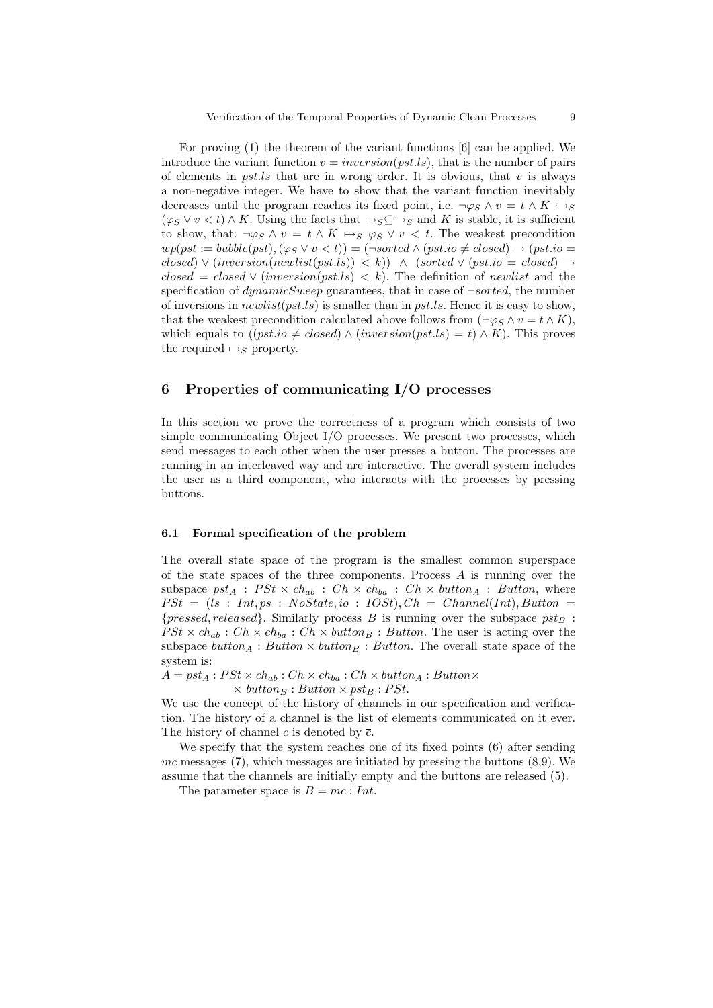For proving (1) the theorem of the variant functions [6] can be applied. We introduce the variant function  $v = inversion(pst.ls)$ , that is the number of pairs of elements in  $pstls$  that are in wrong order. It is obvious, that v is always a non-negative integer. We have to show that the variant function inevitably decreases until the program reaches its fixed point, i.e.  $\neg \varphi_S \wedge v = t \wedge K \hookrightarrow_S$  $(\varphi_S \vee v < t) \wedge K$ . Using the facts that  $\rightarrow_S \subseteq \hookrightarrow_S$  and K is stable, it is sufficient to show, that:  $\neg \varphi_S \wedge v = t \wedge K \mapsto_S \varphi_S \vee v \leq t$ . The weakest precondition  $wp(pst := bubble(pst), (\varphi_S \vee v < t)) = (\neg sorted \wedge (pst.io \ne closed) \rightarrow (pst.io =$  $closed) \vee (inversion(newlist(pst.ls)) \leq k)$   $\wedge$   $(sorted \vee (pst.io = closed) \rightarrow$  $closed = closed \vee (inversion(pst.ls) < k)$ . The definition of newlist and the specification of *dynamicSweep* guarantees, that in case of  $\neg sorted$ , the number of inversions in  $newlist(pst.ls)$  is smaller than in pst.ls. Hence it is easy to show, that the weakest precondition calculated above follows from  $(\neg \varphi_S \land v = t \land K)$ , which equals to  $((pst.io \ne closed) \land (inversion(pst.ls) = t) \land K)$ . This proves the required  $\mapsto$ <sub>S</sub> property.

# 6 Properties of communicating I/O processes

In this section we prove the correctness of a program which consists of two simple communicating Object I/O processes. We present two processes, which send messages to each other when the user presses a button. The processes are running in an interleaved way and are interactive. The overall system includes the user as a third component, who interacts with the processes by pressing buttons.

### 6.1 Formal specification of the problem

The overall state space of the program is the smallest common superspace of the state spaces of the three components. Process A is running over the subspace  $pst_A : PSt \times ch_{ab} : Ch \times ch_{ba} : Ch \times button_A : Button$  $\mathit{PSt} = (ls : Int, ps : NoState, io : IOSt), Ch = Channel(Int), Button =$  ${pressed, released}.$  Similarly process B is running over the subspace  $pst_B$ :  $PSt \times ch_{ab} : Ch \times ch_{ba} : Ch \times button_B : Button$ . The user is acting over the subspace  $button_A : Button \times button_B : Button$ . The overall state space of the system is:

 $A = pst_A : PSt \times ch_{ab} : Ch \times ch_{ba} : Ch \times button_A : Button \times$ 

$$
\times \ button_B : Button \times pst_B : PSt.
$$

We use the concept of the history of channels in our specification and verification. The history of a channel is the list of elements communicated on it ever. The history of channel c is denoted by  $\bar{c}$ .

We specify that the system reaches one of its fixed points (6) after sending mc messages  $(7)$ , which messages are initiated by pressing the buttons  $(8,9)$ . We assume that the channels are initially empty and the buttons are released (5).

The parameter space is  $B = mc : Int$ .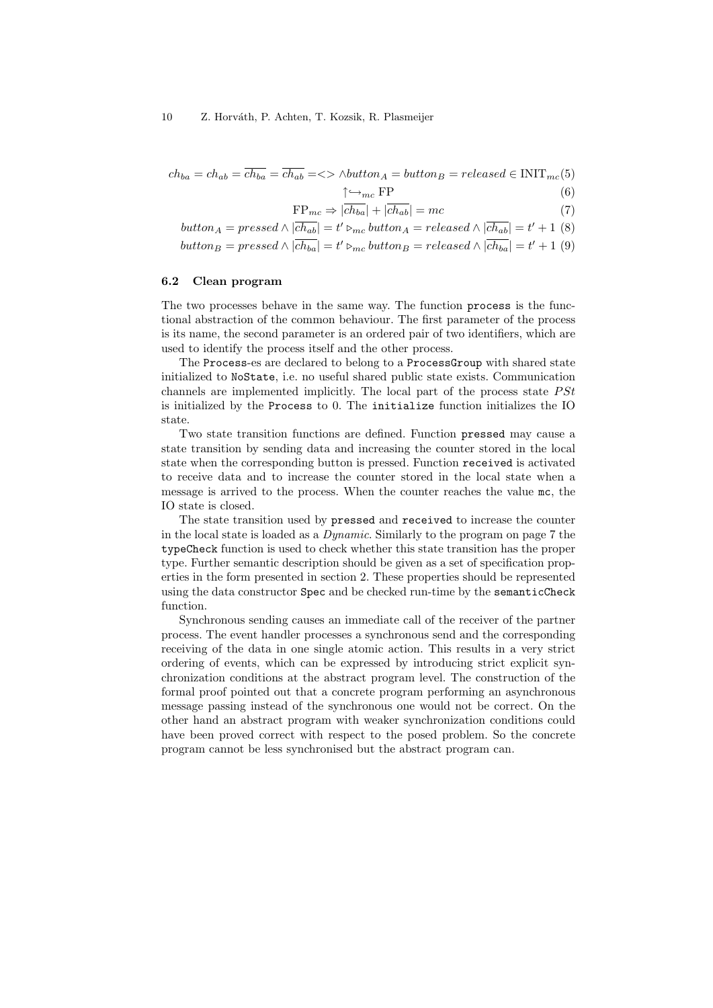$$
ch_{ba} = ch_{ab} = \overline{ch_{ba}} = \overline{ch_{ab}} = \langle \rangle \wedge button_A = button_B = released \in INIT_{mc}(5)
$$

$$
\uparrow \hookrightarrow_{mc} FP
$$
 (6)

$$
FP_{mc} \Rightarrow |ch_{ba}| + |ch_{ab}| = mc \tag{7}
$$

*button*<sub>A</sub> = *pressed* 
$$
\land
$$
  $|\overline{ch_{ab}}| = t' \triangleright_{mc} button_A = released \land |\overline{ch_{ab}}| = t' + 1$  (8)

 $button_B = pressed \wedge |\overline{ch_{ba}}| = t' \triangleright_{mc} button_B = released \wedge |\overline{ch_{ba}}| = t' + 1$  (9)

#### 6.2 Clean program

The two processes behave in the same way. The function process is the functional abstraction of the common behaviour. The first parameter of the process is its name, the second parameter is an ordered pair of two identifiers, which are used to identify the process itself and the other process.

The Process-es are declared to belong to a ProcessGroup with shared state initialized to NoState, i.e. no useful shared public state exists. Communication channels are implemented implicitly. The local part of the process state  $PSt$ is initialized by the Process to 0. The initialize function initializes the IO state.

Two state transition functions are defined. Function pressed may cause a state transition by sending data and increasing the counter stored in the local state when the corresponding button is pressed. Function received is activated to receive data and to increase the counter stored in the local state when a message is arrived to the process. When the counter reaches the value mc, the IO state is closed.

The state transition used by pressed and received to increase the counter in the local state is loaded as a Dynamic. Similarly to the program on page 7 the typeCheck function is used to check whether this state transition has the proper type. Further semantic description should be given as a set of specification properties in the form presented in section 2. These properties should be represented using the data constructor Spec and be checked run-time by the semanticCheck function.

Synchronous sending causes an immediate call of the receiver of the partner process. The event handler processes a synchronous send and the corresponding receiving of the data in one single atomic action. This results in a very strict ordering of events, which can be expressed by introducing strict explicit synchronization conditions at the abstract program level. The construction of the formal proof pointed out that a concrete program performing an asynchronous message passing instead of the synchronous one would not be correct. On the other hand an abstract program with weaker synchronization conditions could have been proved correct with respect to the posed problem. So the concrete program cannot be less synchronised but the abstract program can.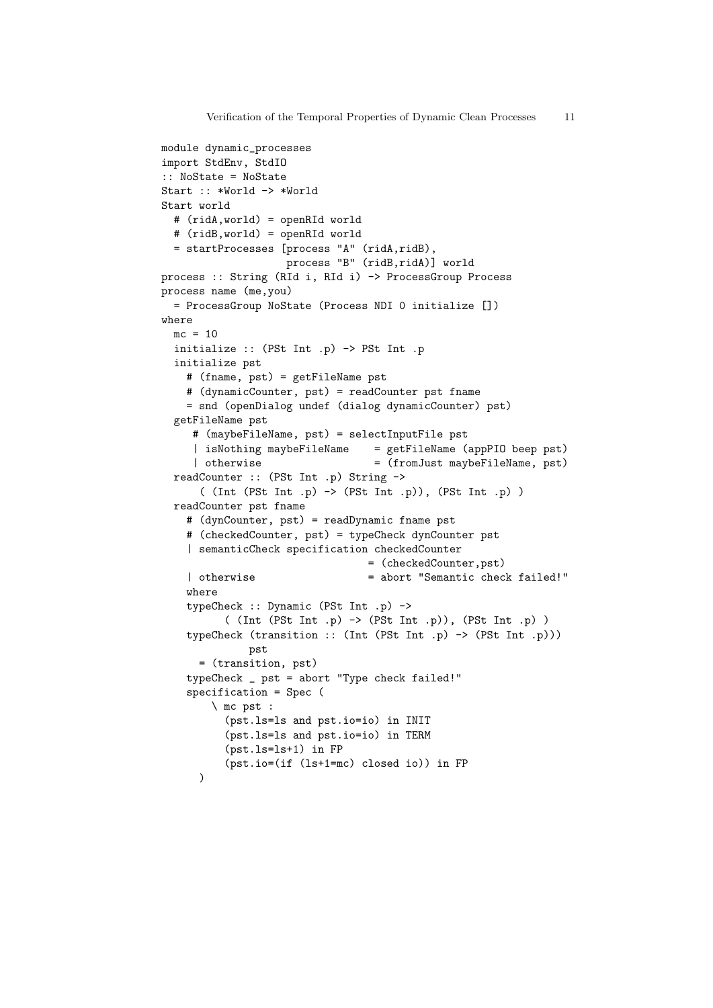```
module dynamic_processes
import StdEnv, StdIO
:: NoState = NoState
Start :: *World -> *World
Start world
 # (ridA,world) = openRId world
 # (ridB,world) = openRId world
 = startProcesses [process "A" (ridA,ridB),
                   process "B" (ridB,ridA)] world
process :: String (RId i, RId i) -> ProcessGroup Process
process name (me,you)
 = ProcessGroup NoState (Process NDI 0 initialize [])
where
 mc = 10initialize :: (PSt Int .p) -> PSt Int .p
  initialize pst
   # (fname, pst) = getFileName pst
   # (dynamicCounter, pst) = readCounter pst fname
   = snd (openDialog undef (dialog dynamicCounter) pst)
  getFileName pst
     # (maybeFileName, pst) = selectInputFile pst
     | isNothing maybeFileName = getFileName (appPIO beep pst)
     | otherwise = (fromJust maybeFileName, pst)
  readCounter :: (PSt Int .p) String ->
      ( (Int (PSt Int .p) -> (PSt Int .p)), (PSt Int .p) )
  readCounter pst fname
   # (dynCounter, pst) = readDynamic fname pst
   # (checkedCounter, pst) = typeCheck dynCounter pst
    | semanticCheck specification checkedCounter
                                = (checkedCounter,pst)
    | otherwise = abort "Semantic check failed!"
   where
   typeCheck :: Dynamic (PSt Int .p) ->
          ( (Int (PSt Int .p) -> (PSt Int .p)), (PSt Int .p) )
   typeCheck (transition :: (Int (PSt Int .p) -> (PSt Int .p)))
             pst
      = (transition, pst)
   typeCheck _ pst = abort "Type check failed!"
   specification = Spec (
        \ mc pst :
          (pst.ls=ls and pst.io=io) in INIT
          (pst.ls=ls and pst.io=io) in TERM
          (pst.ls=ls+1) in FP
          (pst.io=(if (ls+1=mc) closed io)) in FP
     )
```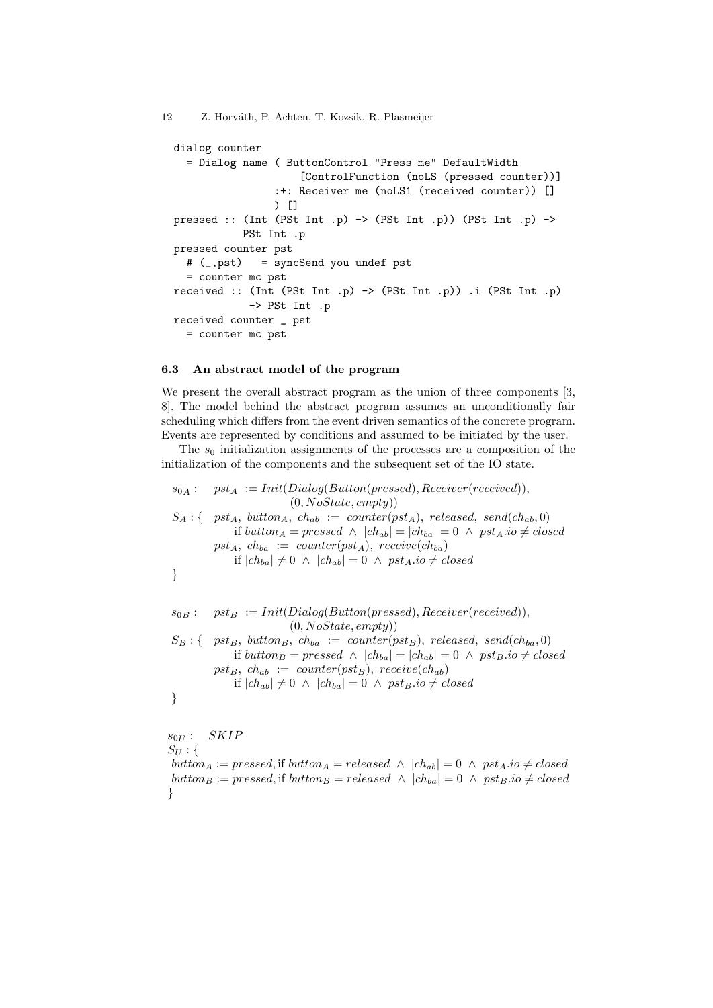```
dialog counter
  = Dialog name ( ButtonControl "Press me" DefaultWidth
                     [ControlFunction (noLS (pressed counter))]
                 :+: Receiver me (noLS1 (received counter)) []
                 ) []
pressed :: (Int (PSt Int .p) \rightarrow (PSt Int .p)) (PSt Int .p) \rightarrowPSt Int .p
pressed counter pst
  # (_,pst) = syncSend you undef pst
  = counter mc pst
received :: (Int (PSt Int .p) -> (PSt Int .p)) .i (PSt Int .p)
             -> PSt Int .p
received counter _ pst
  = counter mc pst
```
#### 6.3 An abstract model of the program

We present the overall abstract program as the union of three components [3, 8]. The model behind the abstract program assumes an unconditionally fair scheduling which differs from the event driven semantics of the concrete program. Events are represented by conditions and assumed to be initiated by the user.

The  $s_0$  initialization assignments of the processes are a composition of the initialization of the components and the subsequent set of the IO state.

```
s_{0A}: \quad pst_A :=Init(Dialog(Button(pressed), Receiver(received)),(0, NoState, empty))S_A: { pst<sub>A</sub>, button<sub>A</sub>, ch<sub>ab</sub> := counter(pst<sub>A</sub>), released, send(ch<sub>ab</sub>, 0)
                if button<sub>A</sub> = pressed ∧ |ch_{ab}| = |ch_{ba}| = 0 ∧ pst<sub>A</sub>.io \neq closed
           pst<sub>A</sub>, ch_{ba} := counter(pst<sub>A</sub>), receive(ch<sub>ba</sub>)if |ch_{ba}| \neq 0 \land |ch_{ab}| = 0 \land pst_A.io \neq closed}
s_{0B}: pst<sub>B</sub> := Init(Dialog(Button(pressed), Receiver(received)),(0, NoState, empty))S_B: \{ \; pst_B, \; button_B, \; ch_{ba} := \; counter(pst_B), \; released, \; send(ch_{ba}, 0)if button<sub>B</sub> = pressed ∧ |ch_{ba}| = |ch_{ab}| = 0 \wedge pst_B.io \neq closedpst<sub>B</sub>, ch<sub>ab</sub> := counter(pst<sub>B</sub>), receive(ch<sub>ab</sub>)if |ch_{ab}| \neq 0 \land |ch_{ba}| = 0 \land pst_B.io \neq closed}
```

```
s_{0U}: SKIP
S_U: \{button_A := pressed, \text{if } button_A = released \ \land \ |ch_{ab}| = 0 \ \land \ pst_A.io \neq closedbutton<sub>B</sub> := pressed, if button<sub>B</sub> = released \land |ch_{ba}| = 0 \land pst_B.io \neq closed}
```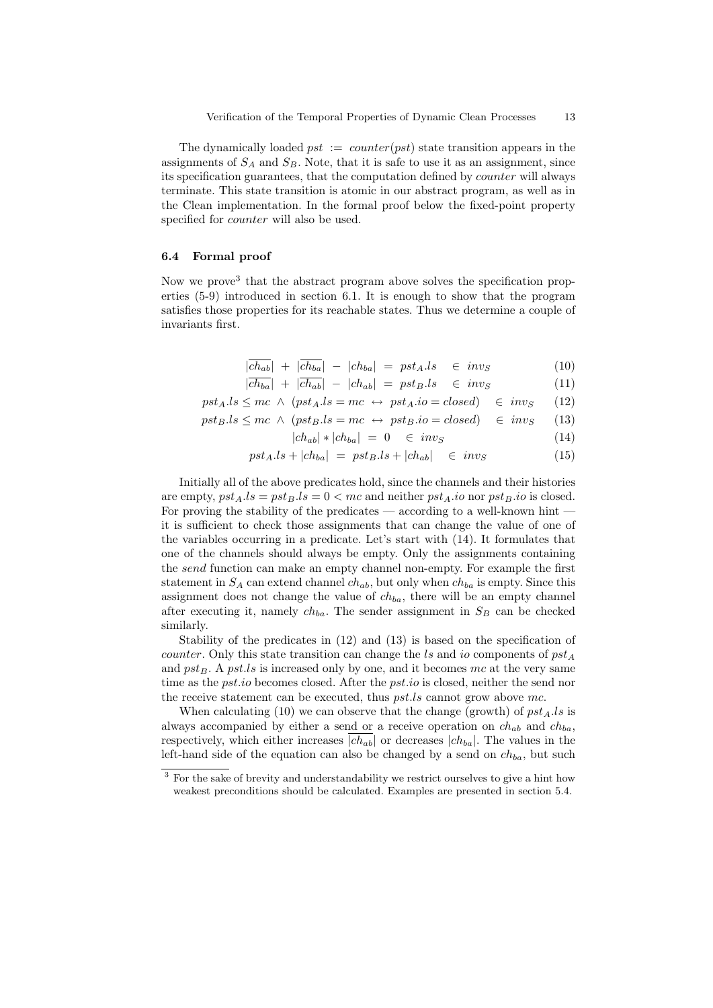The dynamically loaded  $pst := counter(pst)$  state transition appears in the assignments of  $S_A$  and  $S_B$ . Note, that it is safe to use it as an assignment, since its specification guarantees, that the computation defined by counter will always terminate. This state transition is atomic in our abstract program, as well as in the Clean implementation. In the formal proof below the fixed-point property specified for counter will also be used.

#### 6.4 Formal proof

Now we prove<sup>3</sup> that the abstract program above solves the specification properties (5-9) introduced in section 6.1. It is enough to show that the program satisfies those properties for its reachable states. Thus we determine a couple of invariants first.

$$
|\overline{ch_{ab}}| + |\overline{ch_{ba}}| - |ch_{ba}| = pst_A.ls \in inv_S \tag{10}
$$

$$
|ch_{ba}| + |ch_{ab}| - |ch_{ab}| = pst_Bls \in inv_S \tag{11}
$$

$$
pst_{A}.ls \le mc \ \land \ (pst_{A}.ls = mc \ \leftrightarrow \ pst_{A}.io = closed) \ \ \in inv_{S} \tag{12}
$$

 $pst_B.ls \leq mc \land (pst_B.ls = mc \leftrightarrow pst_B.io = closed) \in inv_S$  (13)

$$
|ch_{ab}| * |ch_{ba}| = 0 \quad \in inv_S \tag{14}
$$

$$
pst_{A}.ls + |ch_{ba}| = pst_B.ls + |ch_{ab}| \in inv_S \tag{15}
$$

Initially all of the above predicates hold, since the channels and their histories are empty,  $pst_Als = pst_Bls = 0$  < mc and neither  $pst_A.io$  nor  $pst_B.io$  is closed. For proving the stability of the predicates  $-$  according to a well-known hint  $$ it is sufficient to check those assignments that can change the value of one of the variables occurring in a predicate. Let's start with (14). It formulates that one of the channels should always be empty. Only the assignments containing the send function can make an empty channel non-empty. For example the first statement in  $S_A$  can extend channel  $ch_{ab}$ , but only when  $ch_{ba}$  is empty. Since this assignment does not change the value of  $ch_{ba}$ , there will be an empty channel after executing it, namely  $ch_{ba}$ . The sender assignment in  $S_B$  can be checked similarly.

Stability of the predicates in (12) and (13) is based on the specification of counter. Only this state transition can change the ls and io components of  $pst_A$ and  $pst<sub>B</sub>$ . A pst.ls is increased only by one, and it becomes mc at the very same time as the *pst.io* becomes closed. After the *pst.io* is closed, neither the send nor the receive statement can be executed, thus  $pstls$  cannot grow above mc.

When calculating (10) we can observe that the change (growth) of  $pst_A.ls$  is always accompanied by either a send or a receive operation on  $ch_{ab}$  and  $ch_{ba}$ , respectively, which either increases  $\overline{ch_{ab}}$  or decreases  $\overline{ch_{ba}}$ . The values in the left-hand side of the equation can also be changed by a send on  $ch_{ba}$ , but such

<sup>&</sup>lt;sup>3</sup> For the sake of brevity and understandability we restrict ourselves to give a hint how weakest preconditions should be calculated. Examples are presented in section 5.4.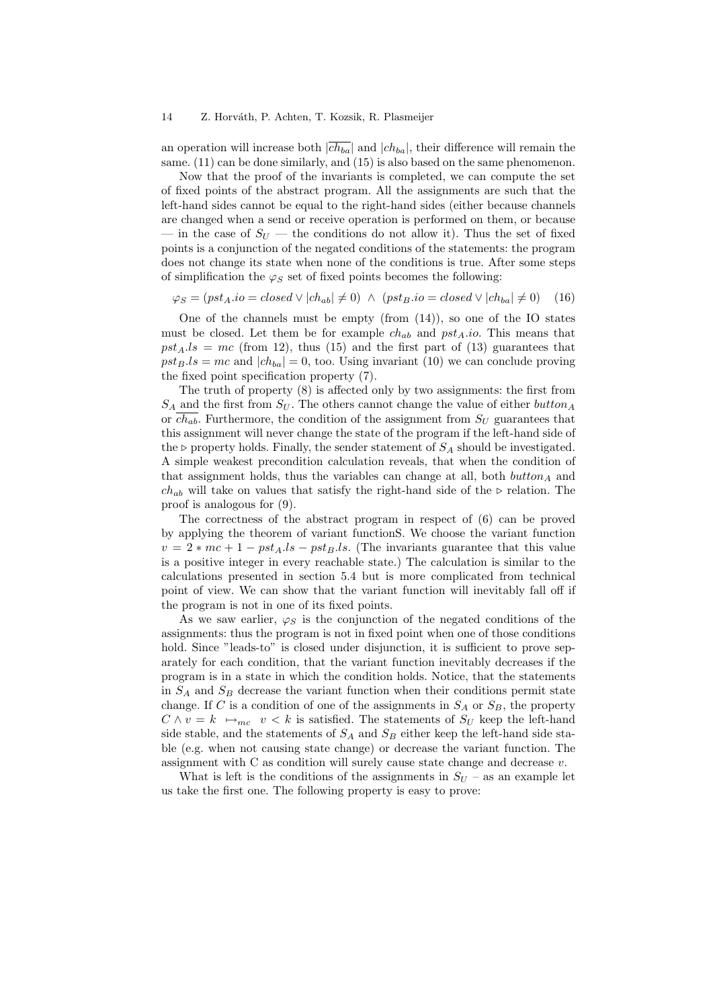an operation will increase both  $|\overline{ch_{ba}}|$  and  $|ch_{ba}|$ , their difference will remain the same. (11) can be done similarly, and (15) is also based on the same phenomenon.

Now that the proof of the invariants is completed, we can compute the set of fixed points of the abstract program. All the assignments are such that the left-hand sides cannot be equal to the right-hand sides (either because channels are changed when a send or receive operation is performed on them, or because — in the case of  $S_U$  — the conditions do not allow it). Thus the set of fixed points is a conjunction of the negated conditions of the statements: the program does not change its state when none of the conditions is true. After some steps of simplification the  $\varphi_S$  set of fixed points becomes the following:

$$
\varphi_S = (pst_A.io = closed \lor |ch_{ab}| \neq 0) \land (pst_B.io = closed \lor |ch_{ba}| \neq 0) \quad (16)
$$

One of the channels must be empty (from  $(14)$ ), so one of the IO states must be closed. Let them be for example  $ch_{ab}$  and  $pst_{A}.io$ . This means that  $pst_{A}.ls = mc$  (from 12), thus (15) and the first part of (13) guarantees that  $pst<sub>B</sub>.ls = mc$  and  $|ch_{ba}| = 0$ , too. Using invariant (10) we can conclude proving the fixed point specification property (7).

The truth of property (8) is affected only by two assignments: the first from  $S_A$  and the first from  $S_U$ . The others cannot change the value of either button<sub>A</sub> or  $ch_{ab}$ . Furthermore, the condition of the assignment from  $S_U$  guarantees that this assignment will never change the state of the program if the left-hand side of the  $\triangleright$  property holds. Finally, the sender statement of  $S_A$  should be investigated. A simple weakest precondition calculation reveals, that when the condition of that assignment holds, thus the variables can change at all, both  $button_A$  and  $ch_{ab}$  will take on values that satisfy the right-hand side of the  $\triangleright$  relation. The proof is analogous for (9).

The correctness of the abstract program in respect of (6) can be proved by applying the theorem of variant functionS. We choose the variant function  $v = 2 * mc + 1 - pst_Als - pst_Bls$ . (The invariants guarantee that this value is a positive integer in every reachable state.) The calculation is similar to the calculations presented in section 5.4 but is more complicated from technical point of view. We can show that the variant function will inevitably fall off if the program is not in one of its fixed points.

As we saw earlier,  $\varphi_S$  is the conjunction of the negated conditions of the assignments: thus the program is not in fixed point when one of those conditions hold. Since "leads-to" is closed under disjunction, it is sufficient to prove separately for each condition, that the variant function inevitably decreases if the program is in a state in which the condition holds. Notice, that the statements in  $S_A$  and  $S_B$  decrease the variant function when their conditions permit state change. If C is a condition of one of the assignments in  $S_A$  or  $S_B$ , the property  $C \wedge v = k \mapsto_{mc} v < k$  is satisfied. The statements of  $S_U$  keep the left-hand side stable, and the statements of  $S_A$  and  $S_B$  either keep the left-hand side stable (e.g. when not causing state change) or decrease the variant function. The assignment with C as condition will surely cause state change and decrease  $v$ .

What is left is the conditions of the assignments in  $S_U$  – as an example let us take the first one. The following property is easy to prove: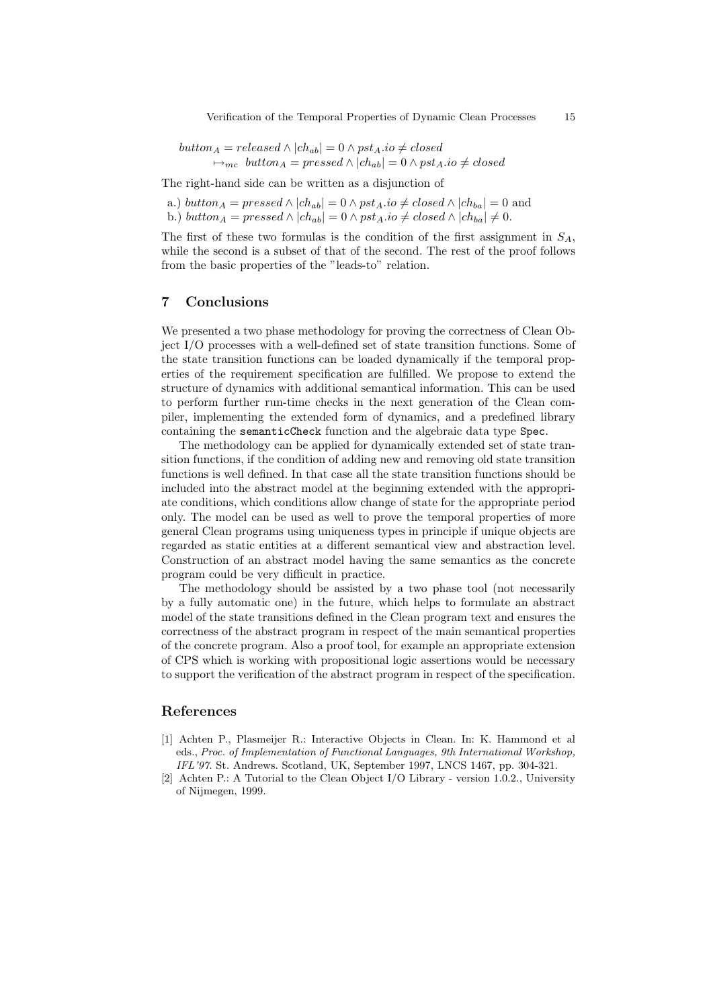$button_A = released \wedge |ch_{ab}| = 0 \wedge pst_A.io \neq closed$  $\mapsto_{mc} \text{ button}_A = pressed \wedge |ch_{ab}| = 0 \wedge pst_A.io \neq closed$ 

The right-hand side can be written as a disjunction of

a.) 
$$
button_A = pressed \land |ch_{ab}| = 0 \land pst_A.io \neq closed \land |ch_{ba}| = 0
$$
 and  
b.)  $button_A = pressed \land |ch_{ab}| = 0 \land pst_A.io \neq closed \land |ch_{ba}| \neq 0$ .

The first of these two formulas is the condition of the first assignment in  $S_A$ , while the second is a subset of that of the second. The rest of the proof follows from the basic properties of the "leads-to" relation.

# 7 Conclusions

We presented a two phase methodology for proving the correctness of Clean Object I/O processes with a well-defined set of state transition functions. Some of the state transition functions can be loaded dynamically if the temporal properties of the requirement specification are fulfilled. We propose to extend the structure of dynamics with additional semantical information. This can be used to perform further run-time checks in the next generation of the Clean compiler, implementing the extended form of dynamics, and a predefined library containing the semanticCheck function and the algebraic data type Spec.

The methodology can be applied for dynamically extended set of state transition functions, if the condition of adding new and removing old state transition functions is well defined. In that case all the state transition functions should be included into the abstract model at the beginning extended with the appropriate conditions, which conditions allow change of state for the appropriate period only. The model can be used as well to prove the temporal properties of more general Clean programs using uniqueness types in principle if unique objects are regarded as static entities at a different semantical view and abstraction level. Construction of an abstract model having the same semantics as the concrete program could be very difficult in practice.

The methodology should be assisted by a two phase tool (not necessarily by a fully automatic one) in the future, which helps to formulate an abstract model of the state transitions defined in the Clean program text and ensures the correctness of the abstract program in respect of the main semantical properties of the concrete program. Also a proof tool, for example an appropriate extension of CPS which is working with propositional logic assertions would be necessary to support the verification of the abstract program in respect of the specification.

# References

- [1] Achten P., Plasmeijer R.: Interactive Objects in Clean. In: K. Hammond et al eds., Proc. of Implementation of Functional Languages, 9th International Workshop, IFL'97. St. Andrews. Scotland, UK, September 1997, LNCS 1467, pp. 304-321.
- [2] Achten P.: A Tutorial to the Clean Object I/O Library version 1.0.2., University of Nijmegen, 1999.